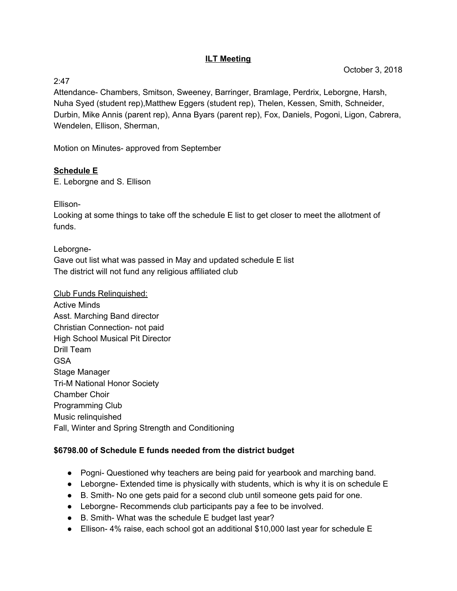#### **ILT Meeting**

2:47

Attendance- Chambers, Smitson, Sweeney, Barringer, Bramlage, Perdrix, Leborgne, Harsh, Nuha Syed (student rep),Matthew Eggers (student rep), Thelen, Kessen, Smith, Schneider, Durbin, Mike Annis (parent rep), Anna Byars (parent rep), Fox, Daniels, Pogoni, Ligon, Cabrera, Wendelen, Ellison, Sherman,

Motion on Minutes- approved from September

# **Schedule E**

E. Leborgne and S. Ellison

Ellison-

Looking at some things to take off the schedule E list to get closer to meet the allotment of funds.

Leborgne-

Gave out list what was passed in May and updated schedule E list The district will not fund any religious affiliated club

Club Funds Relinquished: Active Minds Asst. Marching Band director Christian Connection- not paid High School Musical Pit Director Drill Team GSA Stage Manager Tri-M National Honor Society Chamber Choir Programming Club Music relinquished Fall, Winter and Spring Strength and Conditioning

## **\$6798.00 of Schedule E funds needed from the district budget**

- Pogni- Questioned why teachers are being paid for yearbook and marching band.
- Leborgne- Extended time is physically with students, which is why it is on schedule E
- B. Smith- No one gets paid for a second club until someone gets paid for one.
- Leborgne- Recommends club participants pay a fee to be involved.
- B. Smith-What was the schedule E budget last year?
- Ellison-4% raise, each school got an additional \$10,000 last year for schedule E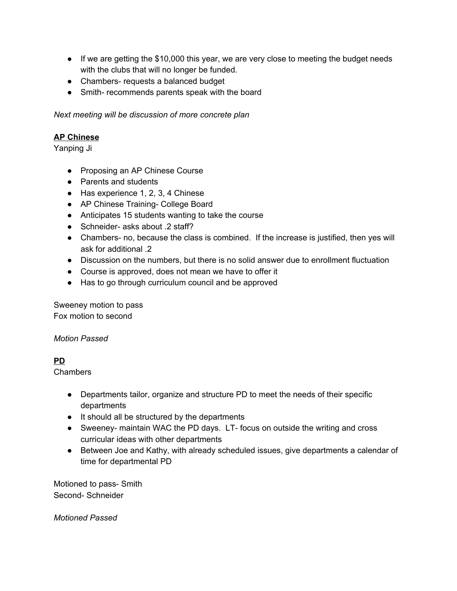- If we are getting the \$10,000 this year, we are very close to meeting the budget needs with the clubs that will no longer be funded.
- Chambers- requests a balanced budget
- Smith- recommends parents speak with the board

*Next meeting will be discussion of more concrete plan*

### **AP Chinese**

Yanping Ji

- Proposing an AP Chinese Course
- Parents and students
- Has experience 1, 2, 3, 4 Chinese
- AP Chinese Training- College Board
- Anticipates 15 students wanting to take the course
- Schneider- asks about .2 staff?
- Chambers- no, because the class is combined. If the increase is justified, then yes will ask for additional .2
- Discussion on the numbers, but there is no solid answer due to enrollment fluctuation
- Course is approved, does not mean we have to offer it
- Has to go through curriculum council and be approved

Sweeney motion to pass Fox motion to second

*Motion Passed*

#### **PD**

Chambers

- Departments tailor, organize and structure PD to meet the needs of their specific departments
- It should all be structured by the departments
- Sweeney- maintain WAC the PD days. LT- focus on outside the writing and cross curricular ideas with other departments
- Between Joe and Kathy, with already scheduled issues, give departments a calendar of time for departmental PD

Motioned to pass- Smith Second- Schneider

*Motioned Passed*